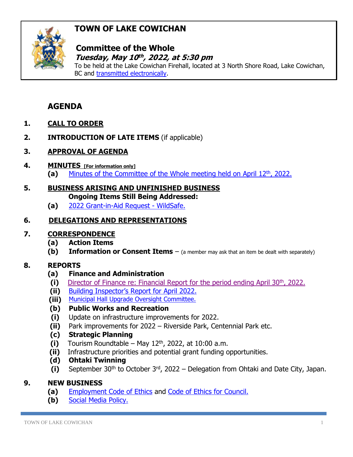# **TOWN OF LAKE COWICHAN**



## **Committee of the Whole**  *Tuesday, May 10<sup>th</sup>, 2022, at 5:30 pm*

To be held at the Lake Cowichan Firehall, located at 3 North Shore Road, Lake Cowichan, BC and [transmitted electronically.](https://www.youtube.com/channel/UC5plCK4kDsLCaGkpiq4SQAA/featured)

# **AGENDA**

- **1. CALL TO ORDER**
- **2. INTRODUCTION OF LATE ITEMS** (if applicable)
- **3. APPROVAL OF AGENDA**
- **4. MINUTES [For information only]** (a) [Minutes of the Committee of the Whole meeting held on April 12](http://www.lakecowichan.ca/dl/22-04-12CW.pdf)<sup>th</sup>, 2022.
- **5. BUSINESS ARISING AND UNFINISHED BUSINESS Ongoing Items Still Being Addressed:**
	- **(a)** [2022 Grant-in-Aid Request -](http://www.lakecowichan.ca/dl/WildSafeBC-Cowichan-Valley-Annual-Report-2021.pdf) WildSafe.

## **6. DELEGATIONS AND REPRESENTATIONS**

#### **7. CORRESPONDENCE**

- **(a) Action Items**
- **(b)** Information or Consent Items (a member may ask that an item be dealt with separately)

## **8. REPORTS**

- **(a) Finance and Administration**
- (i) [Director of Finance re: Financial Report for the period ending April 30](https://www.lakecowichan.ca/dl/finapril22.pdf)<sup>th</sup>, 2022.
- **(ii)** [Building Inspector's Report for](http://www.lakecowichan.ca/dl/biapril22.pdf) April 2022.
- **(iii)** [Municipal Hall Upgrade Oversight Committee.](http://www.lakecowichan.ca/dl/OversightCommittee.pdf)
- **(b) Public Works and Recreation**
- **(i)** Update on infrastructure improvements for 2022.
- **(ii)** Park improvements for 2022 Riverside Park, Centennial Park etc.
- **(c) Strategic Planning**
- $(i)$  Tourism Roundtable May  $12<sup>th</sup>$ , 2022, at 10:00 a.m.
- **(ii)** Infrastructure priorities and potential grant funding opportunities.
- **(d) Ohtaki Twinning**
- **(i)** September 30th to October 3rd, 2022 Delegation from Ohtaki and Date City, Japan.

#### **9. NEW BUSINESS**

- **(a)** [Employment Code of Ethics](http://www.lakecowichan.ca/dl/Employment%20Code%20of%20Conduct.pdf) and [Code of Ethics for Council.](http://www.lakecowichan.ca/dl/Code%20of%20Ethics%20for%20Council.pdf)
- **(b)** [Social Media Policy.](http://www.lakecowichan.ca/dl/Media%20Policy.pdf)